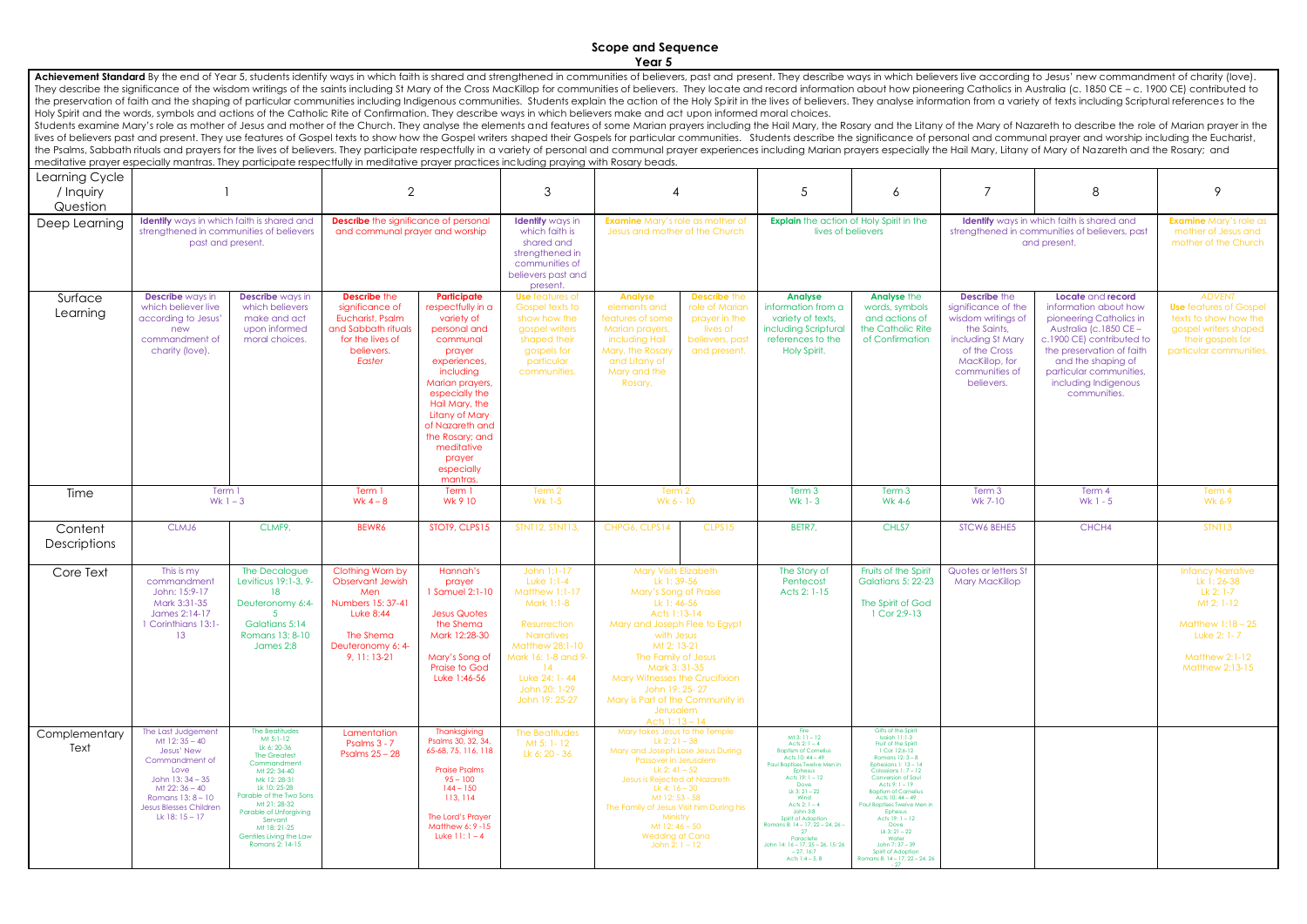## **Scope and Sequence Year 5**

Achievement Standard By the end of Year 5, students identify ways in which faith is shared and strengthened in communities of believers, past and present. They describe ways in which believers live according to Jesus' new They describe the significance of the wisdom writings of the saints including St Mary of the Cross MacKillop for communities of believers. They locate and record information about how pioneering Catholics in Australia (c. the preservation of faith and the shaping of particular communities including Indigenous communities. Students explain the action of the Holy Spirit in the lives of believers. They analyse information from a variety of tex Holy Spirit and the words, symbols and actions of the Catholic Rite of Confirmation. They describe ways in which believers make and act upon informed moral choices.

Students examine Mary's role as mother of Jesus and mother of the Church. They analyse the elements and features of some Marian prayers including the Hail Mary, the Rosary and the Litany of the Mary of Nazareth to describe lives of believers past and present. They use features of Gospel texts to show how the Gospel writers shaped their Gospels for particular communities. Students describe the significance of personal and communal prayer and the Psalms, Sabbath rituals and prayers for the lives of believers. They participate respectfully in a variety of personal and communal prayer experiences including Marian prayers especially the Hail Mary, Litany of Mary o meditative prayer especially mantras. They participate respectfully in meditative prayer practices including praying with Rosary beads.

|                                         | modificitive proven especially manifest, moy pamelpare respectiony in modifante provences including proving will hessay beaus                                                                |                                                                                                                                                                                                                                                                               |                                                                                                                                                 |                                                                                                                                                                                                                                                                                           |                                                                                                                                                                                                                   |                                                                                                                                                                                                                                                                                                                                       |                                                                                                                                                                                                                                                                                                                                                                                          |                                                                                                                                                                                                                                                                                                                                                                                                                                    |                                                                                                                                                                        |                                                                                                                                                                                                                                                    |                                                                                                                                                    |
|-----------------------------------------|----------------------------------------------------------------------------------------------------------------------------------------------------------------------------------------------|-------------------------------------------------------------------------------------------------------------------------------------------------------------------------------------------------------------------------------------------------------------------------------|-------------------------------------------------------------------------------------------------------------------------------------------------|-------------------------------------------------------------------------------------------------------------------------------------------------------------------------------------------------------------------------------------------------------------------------------------------|-------------------------------------------------------------------------------------------------------------------------------------------------------------------------------------------------------------------|---------------------------------------------------------------------------------------------------------------------------------------------------------------------------------------------------------------------------------------------------------------------------------------------------------------------------------------|------------------------------------------------------------------------------------------------------------------------------------------------------------------------------------------------------------------------------------------------------------------------------------------------------------------------------------------------------------------------------------------|------------------------------------------------------------------------------------------------------------------------------------------------------------------------------------------------------------------------------------------------------------------------------------------------------------------------------------------------------------------------------------------------------------------------------------|------------------------------------------------------------------------------------------------------------------------------------------------------------------------|----------------------------------------------------------------------------------------------------------------------------------------------------------------------------------------------------------------------------------------------------|----------------------------------------------------------------------------------------------------------------------------------------------------|
| Learning Cycle<br>/ Inquiry<br>Question |                                                                                                                                                                                              |                                                                                                                                                                                                                                                                               | $\overline{2}$                                                                                                                                  |                                                                                                                                                                                                                                                                                           | 3                                                                                                                                                                                                                 | 4                                                                                                                                                                                                                                                                                                                                     | 5                                                                                                                                                                                                                                                                                                                                                                                        | 6                                                                                                                                                                                                                                                                                                                                                                                                                                  |                                                                                                                                                                        | 8                                                                                                                                                                                                                                                  | 9                                                                                                                                                  |
| Deep Learning                           | <b>Identify</b> ways in which faith is shared and<br>strengthened in communities of believers<br>past and present.                                                                           |                                                                                                                                                                                                                                                                               | <b>Describe</b> the significance of personal<br>and communal prayer and worship                                                                 |                                                                                                                                                                                                                                                                                           | <b>Identify</b> ways in<br>which faith is<br>shared and<br>strengthened in<br>communities of<br>believers past and<br>present.                                                                                    | <b>Examine</b> Mary's role as mother of<br>Jesus and mother of the Church                                                                                                                                                                                                                                                             | <b>Explain</b> the action of Holy Spirit in the<br>lives of believers                                                                                                                                                                                                                                                                                                                    |                                                                                                                                                                                                                                                                                                                                                                                                                                    | <b>Identify</b> ways in which faith is shared and<br>strengthened in communities of believers, past<br>and present.                                                    |                                                                                                                                                                                                                                                    | <b>Examine</b> Mary's role as<br>mother of Jesus and<br>mother of the Church                                                                       |
| Surface<br>Learning                     | <b>Describe</b> ways in<br>which believer live<br>according to Jesus'<br>new<br>commandment of<br>charity (love).                                                                            | <b>Describe</b> ways in<br>which believers<br>make and act<br>upon informed<br>moral choices.                                                                                                                                                                                 | <b>Describe the</b><br>significance of<br>Eucharist, Psalm<br>and Sabbath rituals<br>for the lives of<br>believers.<br>Easter                   | Participate<br>respectfully in a<br>variety of<br>personal and<br>communal<br>prayer<br>experiences,<br>including<br>Marian prayers,<br>especially the<br>Hail Mary, the<br><b>Litany of Mary</b><br>of Nazareth and<br>the Rosary; and<br>meditative<br>prayer<br>especially<br>mantras. | <b>Use</b> features of<br><b>Gospel texts to</b><br>show how the<br>gospel writers<br>shaped their<br>gospels for<br>particular<br>communities.                                                                   | <b>Describe the</b><br><b>Analyse</b><br>role of Marian<br>elements and<br>features of some<br>prayer in the<br>Marian prayers,<br>lives of<br>including Hail<br>believers, past<br>Mary, the Rosary<br>and present.<br>and Litany of<br>Mary and the<br>Rosary.                                                                      | <b>Analyse</b><br>information from a<br>variety of texts.<br>including Scriptural<br>references to the<br>Holy Spirit.                                                                                                                                                                                                                                                                   | <b>Analyse the</b><br>words, symbols<br>and actions of<br>the Catholic Rite<br>of Confirmation                                                                                                                                                                                                                                                                                                                                     | <b>Describe the</b><br>significance of the<br>wisdom writings of<br>the Saints,<br>including St Mary<br>of the Cross<br>MacKillop, for<br>communities of<br>believers. | Locate and record<br>information about how<br>pioneering Catholics in<br>Australia (c.1850 CE -<br>c.1900 CE) contributed to<br>the preservation of faith<br>and the shaping of<br>particular communities,<br>including Indigenous<br>communities. | <b>ADVENT</b><br><b>Use</b> features of Gospel<br>texts to show how the<br>gospel writers shaped<br>their gospels for<br>particular communities.   |
| Time                                    | Term 1<br>Wk $1 - 3$                                                                                                                                                                         |                                                                                                                                                                                                                                                                               | Term 1<br>Wk $4-8$                                                                                                                              | Term 1<br>Wk 9 10                                                                                                                                                                                                                                                                         | Term 2<br>Wk 1-5                                                                                                                                                                                                  | Term 2<br>Wk 6 - 10                                                                                                                                                                                                                                                                                                                   | Term 3<br>Wk 1-3                                                                                                                                                                                                                                                                                                                                                                         | Term 3<br>Wk 4-6                                                                                                                                                                                                                                                                                                                                                                                                                   | Term 3<br>Wk 7-10                                                                                                                                                      | Term 4<br>$Wk 1 - 5$                                                                                                                                                                                                                               | Term 4<br>Wk 6-9                                                                                                                                   |
| Content<br>Descriptions                 | CLMJ6                                                                                                                                                                                        | CLMF9,                                                                                                                                                                                                                                                                        | BEWR6                                                                                                                                           | STOT9, CLPS15                                                                                                                                                                                                                                                                             | STNT12, STNT13,                                                                                                                                                                                                   | CHPG6, CLPS14<br>CLPS15                                                                                                                                                                                                                                                                                                               | BETR7,                                                                                                                                                                                                                                                                                                                                                                                   | CHLS7                                                                                                                                                                                                                                                                                                                                                                                                                              | <b>STCW6 BEHE5</b>                                                                                                                                                     | CHCH4                                                                                                                                                                                                                                              | STNT13                                                                                                                                             |
| Core Text                               | This is my<br>commandment<br>John: 15:9-17<br>Mark 3:31-35<br>James 2:14-17<br>1 Corinthians 13:1-<br>13                                                                                     | The Decalogue<br>Leviticus 19:1-3, 9-<br>18<br>Deuteronomy 6:4-<br>Galatians 5:14<br>Romans 13: 8-10<br>James 2:8                                                                                                                                                             | Clothing Worn by<br><b>Observant Jewish</b><br>Men<br>Numbers 15: 37-41<br><b>Luke 8:44</b><br>The Shema<br>Deuteronomy 6: 4-<br>$9, 11: 13-21$ | Hannah's<br>prayer<br>1 Samuel 2:1-10<br><b>Jesus Quotes</b><br>the Shema<br>Mark 12:28-30<br>Mary's Song of<br><b>Praise to God</b><br>Luke 1:46-56                                                                                                                                      | John 1:1-17<br>Luke $1:1-4$<br>Matthew 1:1-17<br>Mark 1:1-8<br>Resurrection<br><b>Narratives</b><br>Matthew 28:1-10<br>Mark 16: 1-8 and 9-<br>$\overline{14}$<br>Luke 24: 1-44<br>John 20: 1-29<br>John 19: 25-27 | <b>Mary Visits Elizabeth</b><br>Lk 1:39-56<br>Mary's Song of Praise<br>Lk 1:46-56<br>Acts 1:13-14<br>Mary and Joseph Flee to Egypt<br>with Jesus<br>Mt 2: 13-21<br>The Family of Jesus<br>Mark 3: 31-35<br><b>Mary Witnesses the Crucifixion</b><br>John 19: 25-27<br>Mary is Part of the Community in<br>Jerusalem<br>Acts $1:13-14$ | The Story of<br>Pentecost<br>Acts 2: 1-15                                                                                                                                                                                                                                                                                                                                                | Fruits of the Spirit<br><b>Galatians 5: 22-23</b><br>The Spirit of God<br>1 Cor 2:9-13                                                                                                                                                                                                                                                                                                                                             | Quotes or letters St<br><b>Mary MacKillop</b>                                                                                                                          |                                                                                                                                                                                                                                                    | <b>Infancy Narrative</b><br>Lk 1: 26-38<br>Lk 2: 1-7<br>Mt 2: 1-12<br>Matthew $1:18-25$<br>Luke 2: 1-7<br><b>Matthew 2:1-12</b><br>Matthew 2:13-15 |
| Complementary<br>Text                   | The Last Judgement<br>Mt 12: 35 - 40<br>Jesus' New<br>Commandment of<br>Love<br>John $13:34-35$<br>Mt 22: 36 - 40<br>Romans $13:8 - 10$<br><b>Jesus Blesses Children</b><br>Lk 18: $15 - 17$ | The Beatitudes<br>Mt 5:1-12<br>Lk 6: 20-36<br><b>The Greatest</b><br>Commandment<br>Mt 22: 34-40<br>Mk 12:28-31<br>Lk 10: 25-28<br>Parable of the Two Sons<br>Mt 21: 28-32<br>Parable of Unforgiving<br>Servant<br>Mt 18: 21-25<br>Gentiles Living the Law<br>Romans 2: 14-15 | Lamentation<br>Psalms 3 - 7<br>Psalms $25 - 28$                                                                                                 | Thanksgiving<br>Psalms 30, 32, 34,<br>65-68, 75, 116, 118<br><b>Praise Psalms</b><br>$95 - 100$<br>$144 - 150$<br>113, 114<br>The Lord's Prayer<br>Matthew 6: 9 - 15<br>Luke $11:1 - 4$                                                                                                   | The Beatitudes<br>Mt 5: 1-12<br>Lk 6: 20 - 36                                                                                                                                                                     | Mary takes Jesus to the Temple<br>Lk 2: $21 - 38$<br>Mary and Joseph Lose Jesus During<br>Passover in Jerusalem<br>Lk 2: 41 - 52<br>Jesus is Rejected at Nazareth<br>Lk 4: $16 - 30$<br>Mt 12: 53 - 58<br>The Family of Jesus Visit him During his<br>Ministry<br>Mt 12:46 - 50<br><b>Wedding at Cana</b><br>John 2: $1 - 12$         | <b>Fire</b><br>$Mt$ 3: 11 - 12<br>Acts 2: $1 - 4$<br><b>Baptism of Cornelius</b><br>Acts 10: 44 - 49<br>Paul Baptises Twelve Men in<br>Ephesus<br>Acts $19:1 - 12$<br>Dove<br>Lk $3:21 - 22$<br>Wind<br>Acts 2: $1 - 4$<br>John 3:8<br>Spirit of Adoption<br>Romans 8: 14 - 17, 22 - 24, 26 -<br>27<br>Paraclete<br>John 14: 16 - 17, 25 - 26, 15: 26<br>$-27, 16:7$<br>Acts $1:4 - 5.8$ | Gifts of the Spirit<br>Isaiah 11:1-3<br>Fruit of the Spirit<br>1 Cor 12:6-12<br>Romans $12:3 - 8$<br>Ephesians 1: 13 - 14<br>Colossians 1: 7 - 12<br>Conversion of Saul<br>Acts $9:1 - 19$<br><b>Baptism of Cornelius</b><br>Acts 10: 44 - 49<br>Paul Baptises Twelve Men in<br>Ephesus<br>Acts $19:1 - 12$<br>Dove<br>Lk $3:21 - 22$<br>Water<br>John 7: 37 - 39<br>Spirit of Adoption<br>Romans 8: 14 - 17, 22 - 24, 26<br>$-27$ |                                                                                                                                                                        |                                                                                                                                                                                                                                                    |                                                                                                                                                    |